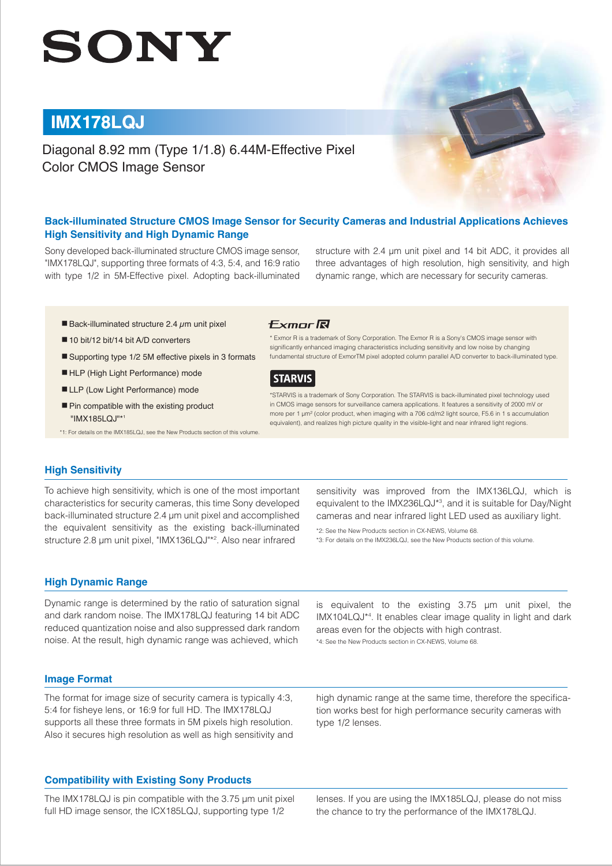# SONY

# **IMX178LQJ**

Diagonal 8.92 mm (Type 1/1.8) 6.44M-Effective Pixel Color CMOS Image Sensor

# **Back-illuminated Structure CMOS Image Sensor for Security Cameras and Industrial Applications Achieves High Sensitivity and High Dynamic Range**

Sony developed back-illuminated structure CMOS image sensor, "IMX178LQJ", supporting three formats of 4:3, 5:4, and 16:9 ratio with type 1/2 in 5M-Effective pixel. Adopting back-illuminated structure with 2.4 μm unit pixel and 14 bit ADC, it provides all three advantages of high resolution, high sensitivity, and high dynamic range, which are necessary for security cameras.

- $\blacksquare$  Back-illuminated structure 2.4  $\mu$ m unit pixel
- 10 bit/12 bit/14 bit A/D converters
- Supporting type 1/2 5M effective pixels in 3 formats
- HLP (High Light Performance) mode
- LLP (Low Light Performance) mode
- Pin compatible with the existing product "IMX185LQJ"\*1

\*1: For details on the IMX185LQJ, see the New Products section of this volume.

#### **Fxmnr凤**

\* Exmor R is a trademark of Sony Corporation. The Exmor R is a Sony's CMOS image sensor with significantly enhanced imaging characteristics including sensitivity and low noise by changing fundamental structure of ExmorTM pixel adopted column parallel A/D converter to back-illuminated type.



\*STARVIS is a trademark of Sony Corporation. The STARVIS is back-illuminated pixel technology used in CMOS image sensors for surveillance camera applications. It features a sensitivity of 2000 mV or more per 1 μm2 (color product, when imaging with a 706 cd/m2 light source, F5.6 in 1 s accumulation equivalent), and realizes high picture quality in the visible-light and near infrared light regions.

#### **High Sensitivity**

To achieve high sensitivity, which is one of the most important characteristics for security cameras, this time Sony developed back-illuminated structure 2.4 μm unit pixel and accomplished the equivalent sensitivity as the existing back-illuminated structure 2.8 μm unit pixel, "IMX136LQJ"\*<sup>2</sup>. Also near infrared

sensitivity was improved from the IMX136LQJ, which is equivalent to the IMX236LQJ\*3 , and it is suitable for Day/Night cameras and near infrared light LED used as auxiliary light.

\*2: See the New Products section in CX-NEWS, Volume 68. \*3: For details on the IMX236LQJ, see the New Products section of this volume.

# **High Dynamic Range**

Dynamic range is determined by the ratio of saturation signal and dark random noise. The IMX178LQJ featuring 14 bit ADC reduced quantization noise and also suppressed dark random noise. At the result, high dynamic range was achieved, which

is equivalent to the existing 3.75 μm unit pixel, the IMX104LQJ\*4 . It enables clear image quality in light and dark areas even for the objects with high contrast. \*4: See the New Products section in CX-NEWS, Volume 68.

#### **Image Format**

The format for image size of security camera is typically 4:3, 5:4 for fisheye lens, or 16:9 for full HD. The IMX178LQJ supports all these three formats in 5M pixels high resolution. Also it secures high resolution as well as high sensitivity and

#### **Compatibility with Existing Sony Products**

The IMX178LQJ is pin compatible with the 3.75 μm unit pixel full HD image sensor, the ICX185LQJ, supporting type 1/2

high dynamic range at the same time, therefore the specification works best for high performance security cameras with type 1/2 lenses.

lenses. If you are using the IMX185LQJ, please do not miss the chance to try the performance of the IMX178LQJ.

2